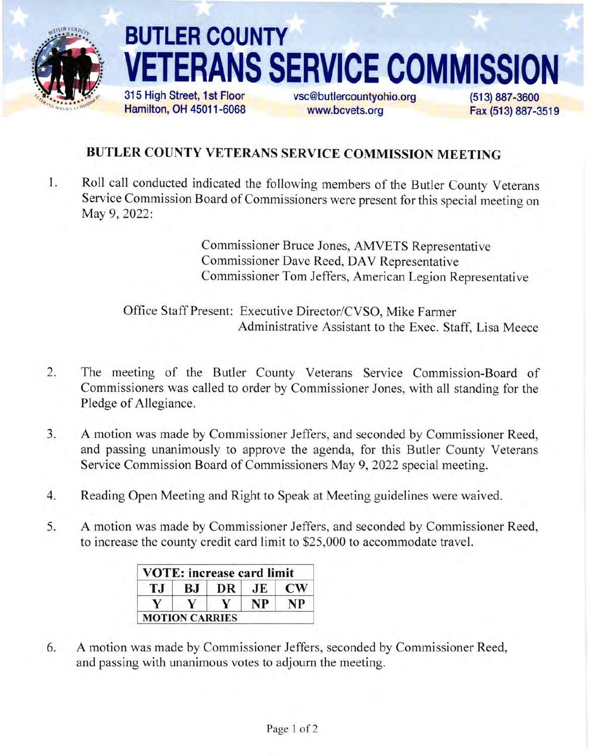

## BUTLER COUNTY **RANS SERVICE COMMISSION**

315 High Street, 1st Floor Hamilton, OH 45011-6068 vsc@butlercountyohio.org www.bcvets.org

(513) 887-3600 Fax (513) 887-3519

## BUTLER COUNTY VETERANS SERVICE COMMISSION MEETING

 $1$ . Roll call conducted indicated the following members of the Butler County Veterans Service Commission Board of Commissioners were present for this special meeting on May 9, 2022:

> Commissioner Bruce Jones, AMVETS Representative Commissioner Dave Reed, DAV Representative Commissioner Tom Jeffers, American Legion Representative

Office Staff Present: Executive Director/CVSO, Mike Farmer Administrative Assistant to the Exec. Staff, Lisa Meece

- The meeting of the Butler County Veterans Service Commission-Board of Commissioners was called to order by Commissioner Jones, with all standing for the Pledge of Allegiance. 2.
- A motion was made by Commissioner Jeffers, and seconded by Commissioner Reed, and passing unanimously to approve the agenda, for this Butler County Veterans Service Commission Board of Commissioners May 9, 2022 special meeting.  $3.$
- Reading Open Meeting and Right to Speak at Meeting guidelines were waived. 4
- A motion was made by Commissioner Jeffers, and seconded by Commissioner Reed, to increase the county credit card limit to \$25,000 to accommodate travel. 5.

|     |                       | <b>VOTE: increase card limit</b> |             |                        |
|-----|-----------------------|----------------------------------|-------------|------------------------|
| T.I | B.I                   | DR                               | $J_{\rm E}$ | $\mathbf{C}\mathbf{W}$ |
|     | v                     |                                  | <b>NP</b>   | NP                     |
|     | <b>MOTION CARRIES</b> |                                  |             |                        |

A motion was made by Commissioner Jeffers, seconded by Commissioner Reed, and passing with unanimous votes to adjourn the meeting. 6.